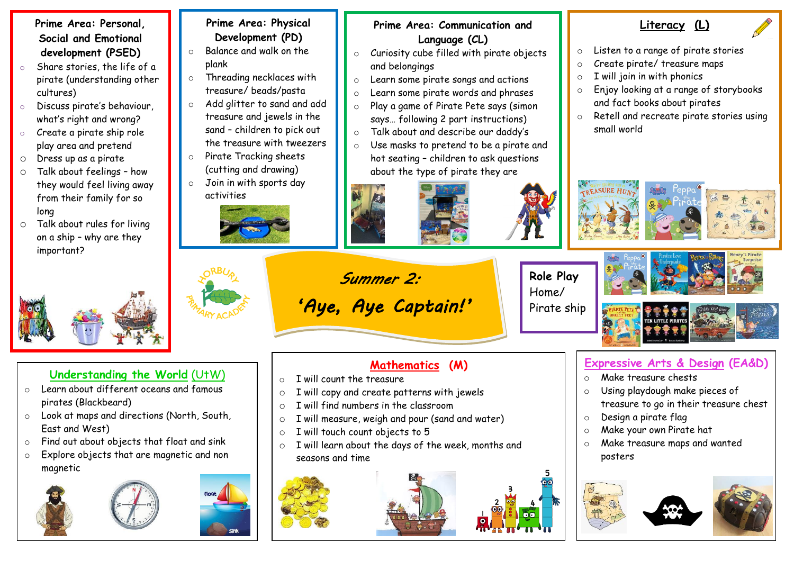#### **Prime Area: Personal, Social and Emotional development (PSED)**

- Share stories, the life of a pirate (understanding other cultures)
- Discuss pirate's behaviour, what's right and wrong?
- o Create a pirate ship role play area and pretend
- o Dress up as a pirate
- o Talk about feelings how they would feel living away from their family for so long
- o Talk about rules for living on a ship – why are they important?



#### **Understanding the World** (UtW)

- o Learn about different oceans and famous pirates (Blackbeard)
- o Look at maps and directions (North, South, East and West)
- o Find out about objects that float and sink
- o Explore objects that are magnetic and non magnetic





### **Prime Area: Physical Development (PD)**

- o Balance and walk on the plank
- o Threading necklaces with treasure/ beads/pasta
- o Add glitter to sand and add treasure and jewels in the sand – children to pick out the treasure with tweezers
- o Pirate Tracking sheets (cutting and drawing)
- o Join in with sports day activities





**Prime Area: Communication and** 

- and belongings
- o Learn some pirate songs and actions
- o Learn some pirate words and phrases
- o Play a game of Pirate Pete says (simon says… following 2 part instructions)
- o Talk about and describe our daddy's
- o Use masks to pretend to be a pirate and hot seating – children to ask questions about the type of pirate they are











66



## **Mathematics (M)**

- $\circ$  I will count the treasure
- o I will copy and create patterns with jewels

*Summer 2:* 

 *'Aye, Aye Captain!'* 

- $\circ$  I will find numbers in the classroom
- o I will measure, weigh and pour (sand and water)
- o I will touch count objects to 5
- o I will learn about the days of the week, months and seasons and time





## **Expressive Arts & Design (EA&D)**

- o Make treasure chests
- o Using playdough make pieces of treasure to go in their treasure chest
- o Design a pirate flag
- o Make your own Pirate hat
- o Make treasure maps and wanted posters





o Listen to a range of pirate stories

**Literacy (L)**

- o Create pirate/ treasure maps
	- $\circ$  I will join in with phonics
	- o Enjoy looking at a range of storybooks and fact books about pirates
	- o Retell and recreate pirate stories using small world